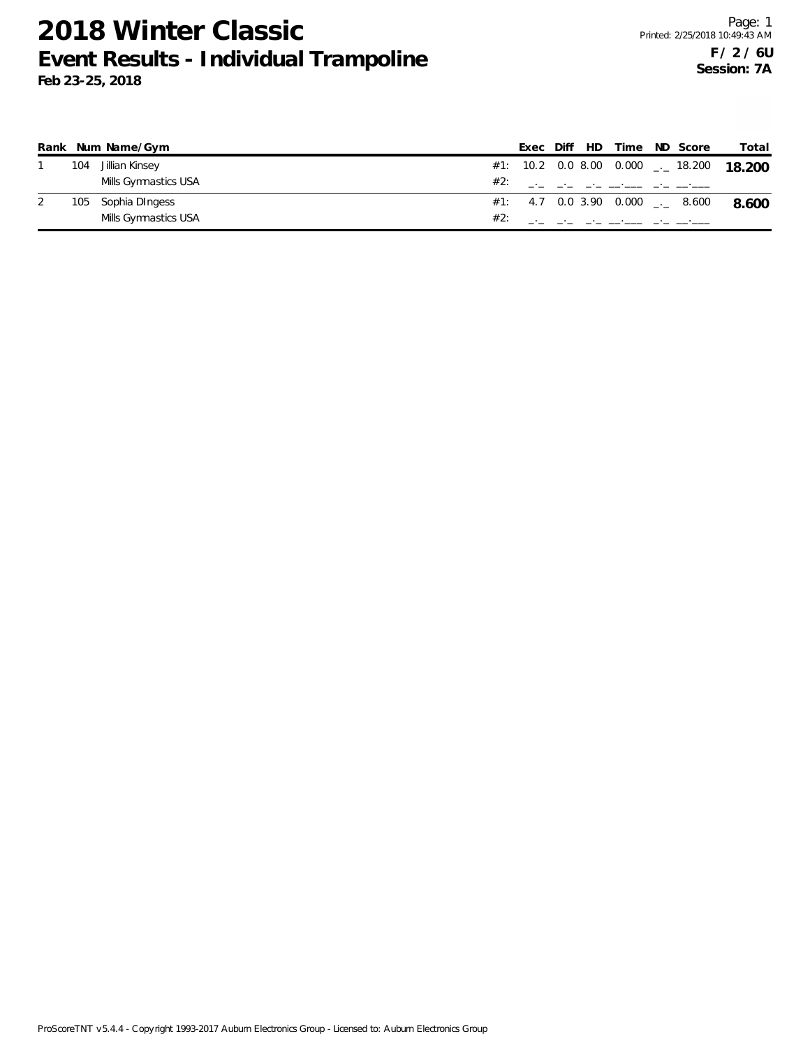|     | Rank Num Name/Gym    |     |  | Exec Diff HD Time                | ND Score                             | Total                                               |
|-----|----------------------|-----|--|----------------------------------|--------------------------------------|-----------------------------------------------------|
| 104 | Jillian Kinsey       |     |  |                                  |                                      | #1: 10.2 0.0 8.00 0.000 $\frac{1}{2}$ 18.200 18.200 |
|     | Mills Gymnastics USA | #2: |  | and the same company and contain |                                      |                                                     |
| 105 | Sophia DIngess       |     |  |                                  | $\#1$ : 4.7 0.0 3.90 0.000 ___ 8.600 | 8.600                                               |
|     | Mills Gymnastics USA | #2: |  |                                  |                                      |                                                     |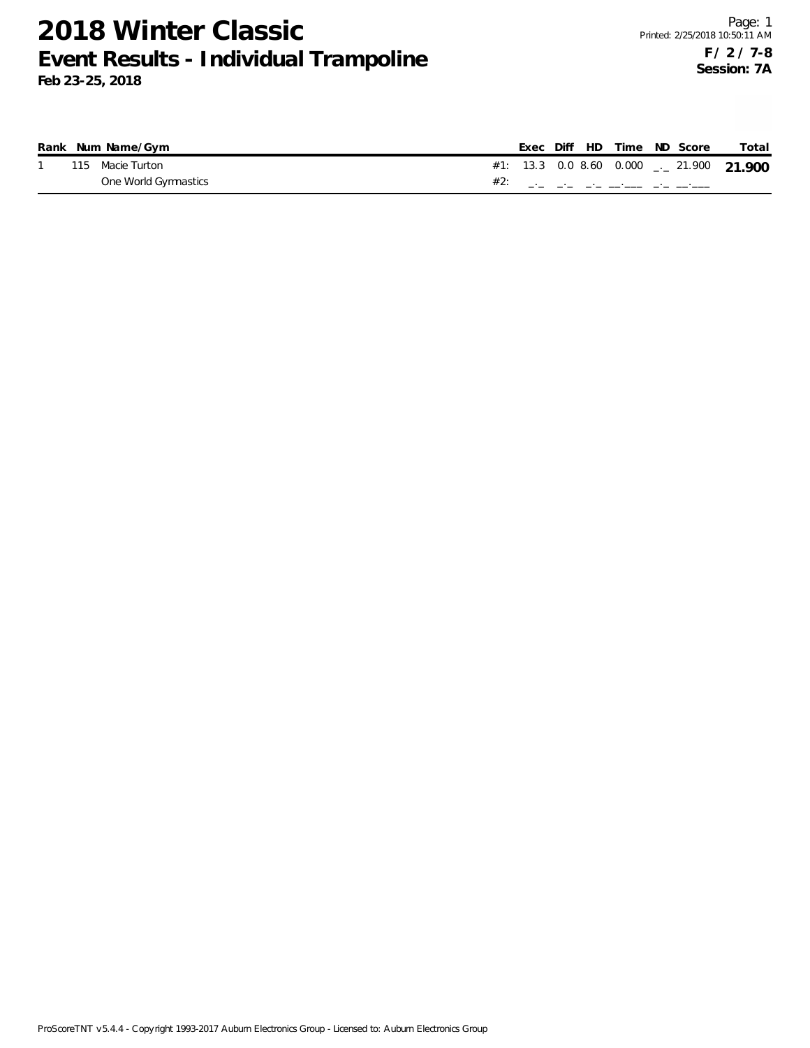|  | Rank Num Name/Gym    |  |  | Exec Diff HD Time ND Score |  | Total                                               |
|--|----------------------|--|--|----------------------------|--|-----------------------------------------------------|
|  | 115 Macie Turton     |  |  |                            |  | #1: 13.3 0.0 8.60 0.000 $\frac{1}{2}$ 21.900 21.900 |
|  | One World Gymnastics |  |  |                            |  |                                                     |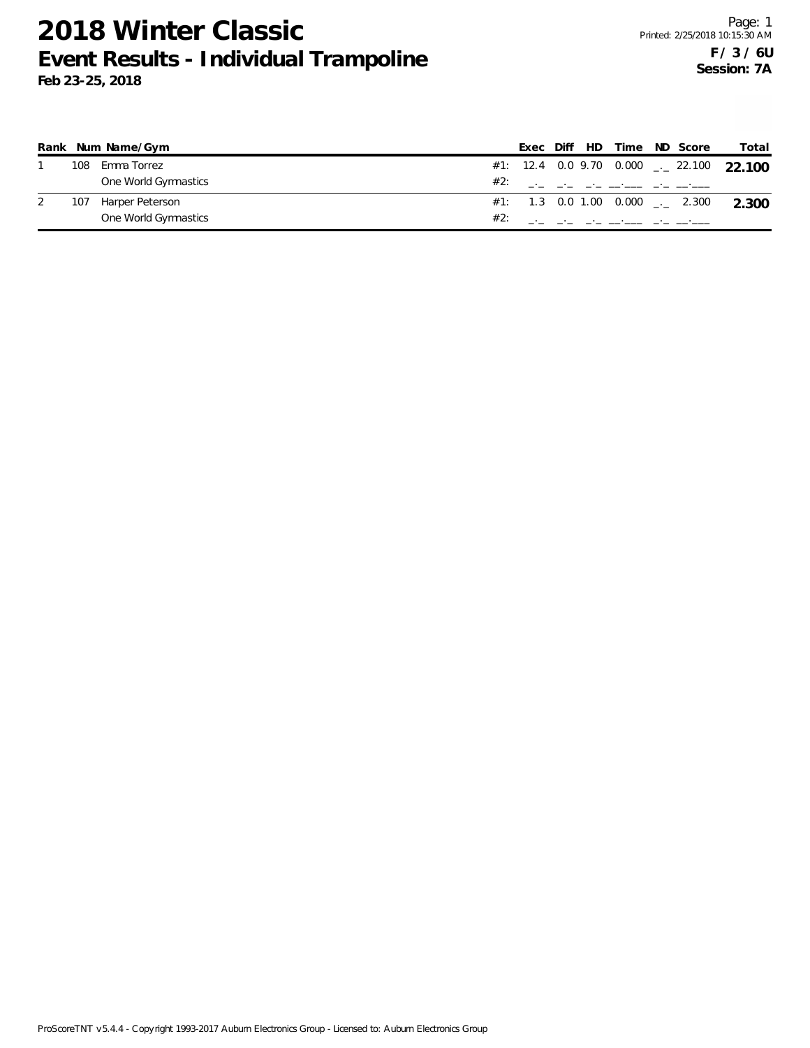|     | Rank Num Name/Gym    | Exec |  | Diff HD Time ND Score                            |  | Total                                               |
|-----|----------------------|------|--|--------------------------------------------------|--|-----------------------------------------------------|
| 108 | Emma Torrez          |      |  |                                                  |  | #1: 12.4 0.0 9.70 0.000 $\frac{1}{2}$ 22.100 22.100 |
|     | One World Gymnastics |      |  | #2: ___ __ __ __ __ __ __                        |  |                                                     |
| 107 | Harper Peterson      |      |  |                                                  |  | #1: 1.3 0.0 1.00 0.000 $\frac{1}{2}$ 2.300 2.300    |
|     | One World Gymnastics |      |  | the control of the control of the control of the |  |                                                     |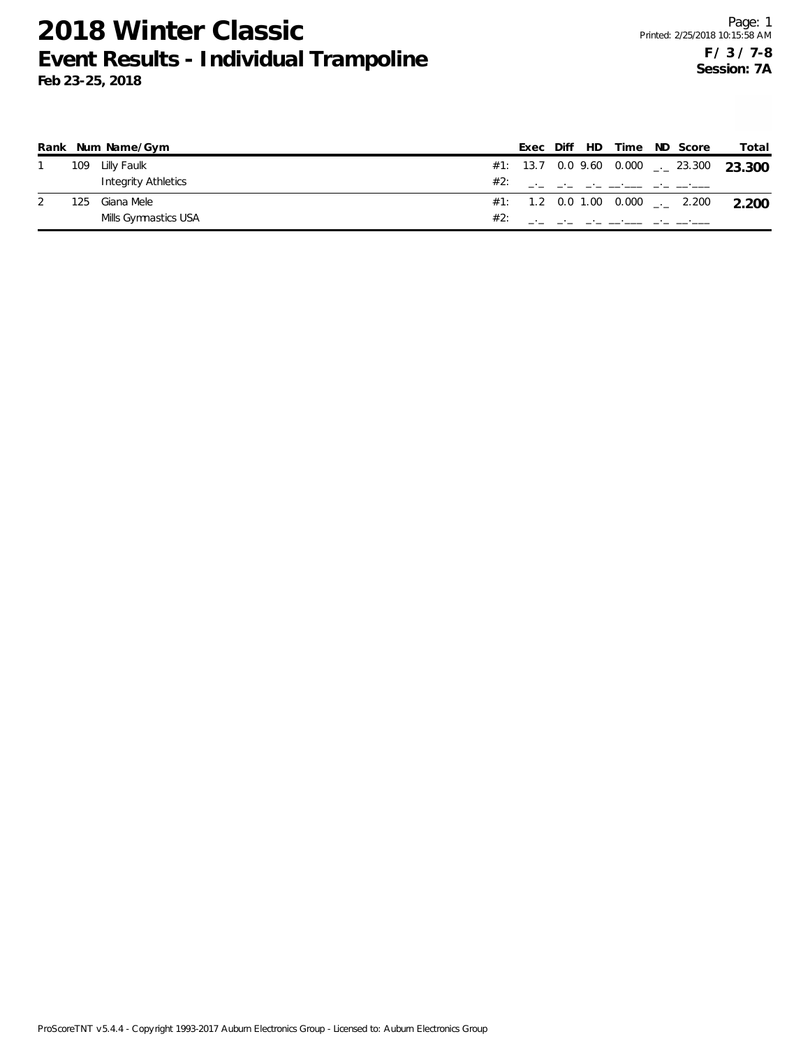|     | Rank Num Name/Gym    |     | Exec |  | Diff HD Time ND Score |  | Total                                               |
|-----|----------------------|-----|------|--|-----------------------|--|-----------------------------------------------------|
|     | 109 Lilly Faulk      |     |      |  |                       |  | #1: 13.7 0.0 9.60 0.000 $\rightarrow$ 23.300 23.300 |
|     | Integrity Athletics  |     |      |  |                       |  |                                                     |
| 125 | Giana Mele           |     |      |  |                       |  | #1: 1.2 0.0 1.00 0.000 $\frac{1}{2}$ 2.200 2.200    |
|     | Mills Gymnastics USA | #2: |      |  |                       |  |                                                     |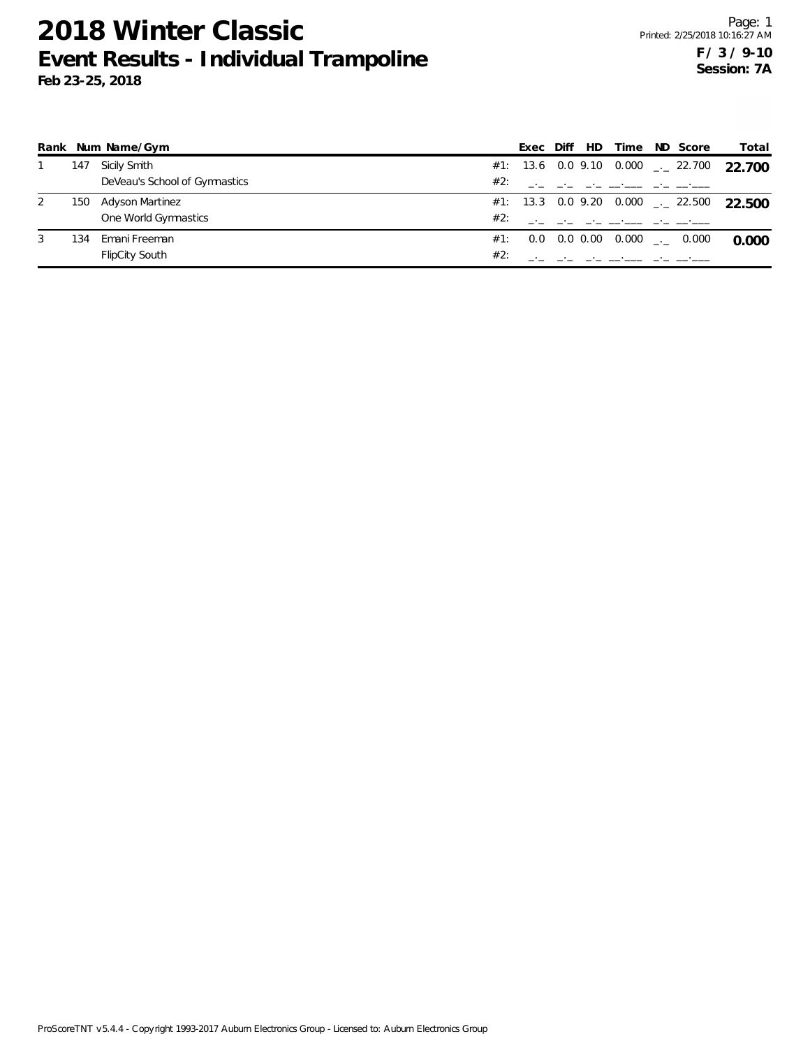| Rank |     | Num Name/Gym                  |     | Exec | Diff | - HD - | Time | ND Score                                              | Total    |
|------|-----|-------------------------------|-----|------|------|--------|------|-------------------------------------------------------|----------|
|      | 147 | Sicily Smith                  |     |      |      |        |      | #1: 13.6 0.0 9.10 0.000 $\frac{1}{2}$ 22.700          | - 22.700 |
|      |     | DeVeau's School of Gymnastics | #2: |      |      |        |      | المتوقف التوقي المتنف فتنوا المراد والمراد            |          |
| 2    |     | 150 Adyson Martinez           |     |      |      |        |      | #1: 13.3 0.0 9.20 0.000 $_{\leftarrow}$ 22.500 22.500 |          |
|      |     | One World Gymnastics          | #2: |      |      |        |      | وللمستناء والمستنقل والمتحدث والمتحدث والمتحدث        |          |
| 3    | 134 | Emani Freeman                 | #1: |      |      |        |      | $0.0$ $0.0$ $0.00$ $0.000$ $_{\dots}$ $0.000$         | 0.000    |
|      |     | <b>FlipCity South</b>         | #2: |      |      |        |      |                                                       |          |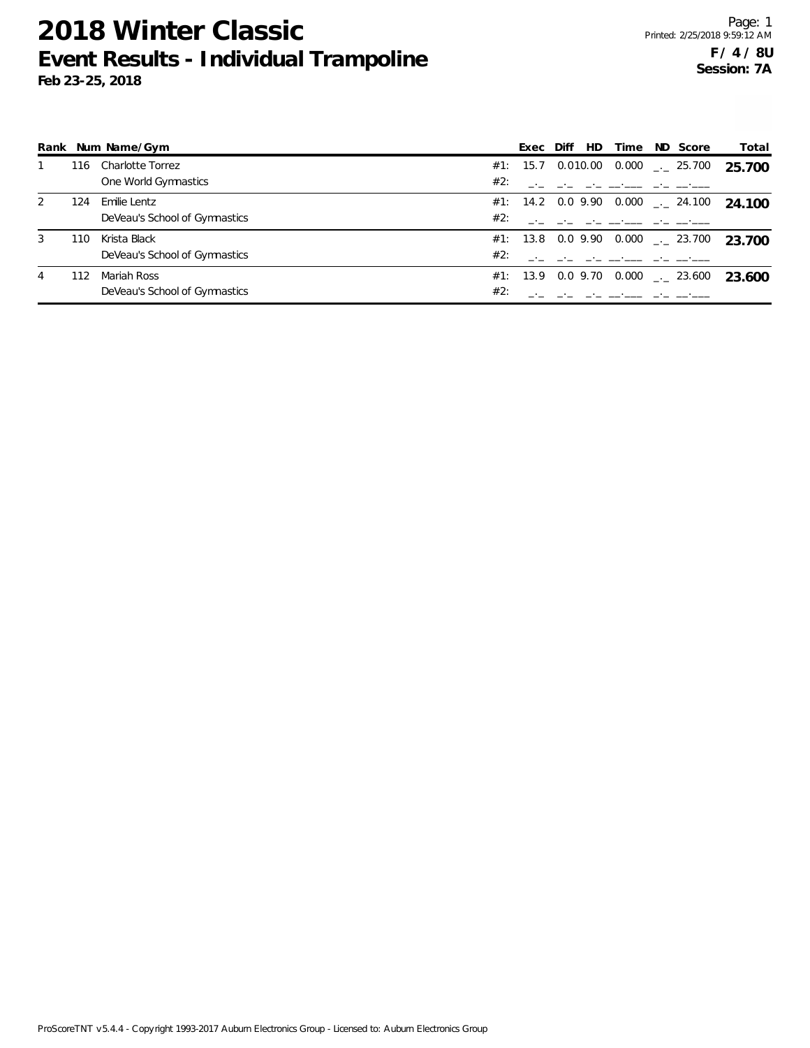|               |     | Rank Num Name/Gym             |     | Exec | Diff | HD | Time | ND Score                                        | Total  |
|---------------|-----|-------------------------------|-----|------|------|----|------|-------------------------------------------------|--------|
|               | 116 | Charlotte Torrez              |     |      |      |    |      | #1: 15.7 0.010.00 0.000 $\text{---}$ 25.700     | 25.700 |
|               |     | One World Gymnastics          | #2: |      |      |    |      |                                                 |        |
| $\mathcal{L}$ | 124 | Emilie Lentz                  |     |      |      |    |      | #1: 14.2 0.0 9.90 0.000 $\leq$ 24.100           | 24.100 |
|               |     | DeVeau's School of Gymnastics | #2: |      |      |    |      |                                                 |        |
| 3             | 110 | Krista Black                  |     |      |      |    |      | #1: 13.8 0.0 9.90 0.000 $\frac{1}{2}$ 23.700    | 23.700 |
|               |     | DeVeau's School of Gymnastics | #2: |      |      |    |      |                                                 |        |
| 4             | 112 | Mariah Ross                   |     |      |      |    |      | #1: 13.9  0.0  9.70  0.000 $\frac{1}{2}$ 23.600 | 23.600 |
|               |     | DeVeau's School of Gymnastics | #2: |      |      |    |      |                                                 |        |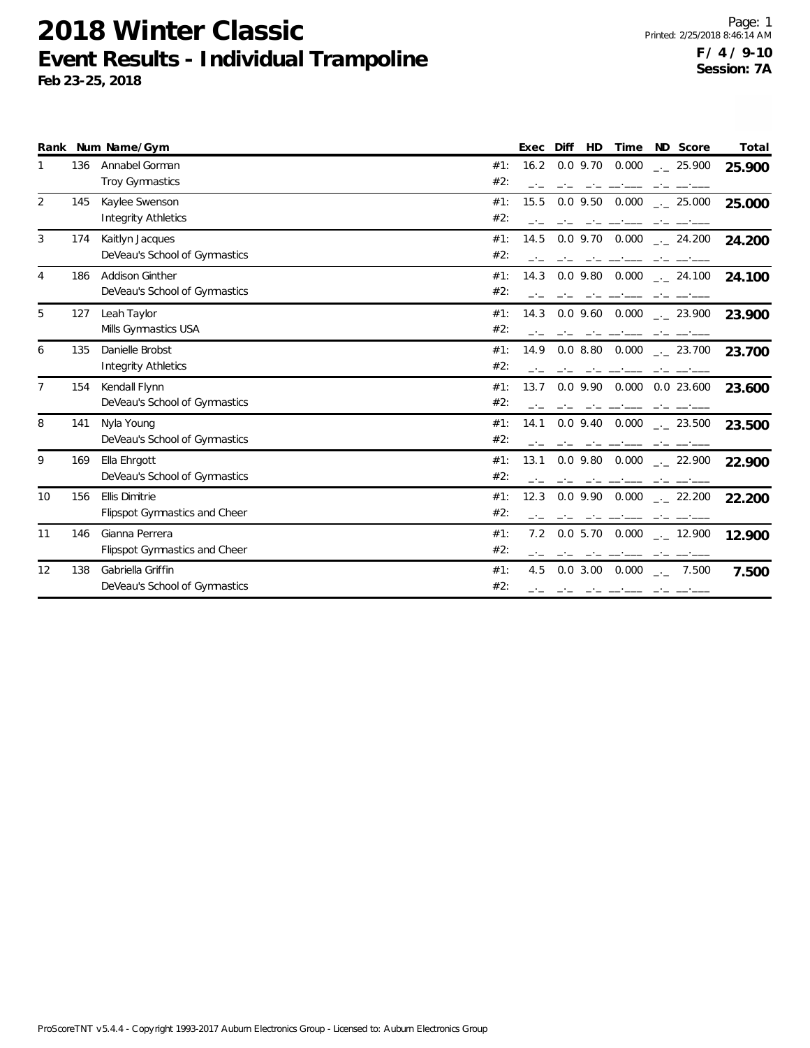|                |     | Rank Num Name/Gym                    |     | Exec | Diff<br>HD         | Time  | ND Score                            | Total  |
|----------------|-----|--------------------------------------|-----|------|--------------------|-------|-------------------------------------|--------|
|                | 136 | Annabel Gorman                       | #1: | 16.2 | $0.0$ 9.70         | 0.000 | $-25.900$                           | 25.900 |
|                |     | <b>Troy Gymnastics</b>               | #2: |      |                    |       |                                     |        |
| 2              | 145 | Kaylee Swenson                       | #1: | 15.5 | $0.0$ 9.50         | 0.000 | $\frac{1}{2}$ 25.000                | 25.000 |
|                |     | <b>Integrity Athletics</b>           | #2: |      |                    |       |                                     |        |
| 3              | 174 | Kaitlyn Jacques                      | #1: | 14.5 | $0.0$ 9.70 $0.000$ |       | $\frac{1}{2}$ 24.200                | 24.200 |
|                |     | DeVeau's School of Gymnastics        | #2: |      |                    |       |                                     |        |
| 4              | 186 | <b>Addison Ginther</b>               | #1: | 14.3 | $0.0$ 9.80 $0.000$ |       | $\frac{1}{2}$ 24.100                | 24.100 |
|                |     | DeVeau's School of Gymnastics        | #2: |      |                    |       |                                     |        |
| 5              | 127 | Leah Taylor                          | #1: | 14.3 | $0.0$ 9.60 $0.000$ |       | . 23.900                            | 23.900 |
|                |     | Mills Gymnastics USA                 | #2: |      |                    |       |                                     |        |
| 6              | 135 | Danielle Brobst                      | #1: | 14.9 | 0.08.80            | 0.000 | 23.700                              | 23.700 |
|                |     | <b>Integrity Athletics</b>           | #2: |      |                    |       |                                     |        |
| $\overline{7}$ | 154 | Kendall Flynn                        | #1: | 13.7 | $0.0$ 9.90         |       | 0.000 0.0 23.600                    | 23.600 |
|                |     | DeVeau's School of Gymnastics        | #2: |      |                    |       |                                     |        |
| 8              | 141 | Nyla Young                           | #1: | 14.1 | $0.0$ 9.40         | 0.000 | 23.500                              | 23.500 |
|                |     | DeVeau's School of Gymnastics        | #2: |      |                    |       |                                     |        |
| 9              | 169 | Ella Ehrgott                         | #1: | 13.1 | $0.0$ 9.80         | 0.000 | $-22.900$                           | 22.900 |
|                |     | DeVeau's School of Gymnastics        | #2: |      |                    |       |                                     |        |
| 10             | 156 | <b>Ellis Dimitrie</b>                | #1: | 12.3 | $0.0$ 9.90         | 0.000 | $\frac{1}{2}$ 22.200                | 22.200 |
|                |     | <b>Flipspot Gymnastics and Cheer</b> | #2: |      |                    |       |                                     |        |
| 11             | 146 | Gianna Perrera                       | #1: | 7.2  | $0.0$ 5.70 $0.000$ |       | $\frac{1}{2}$ 12.900                | 12.900 |
|                |     | <b>Flipspot Gymnastics and Cheer</b> | #2: |      |                    |       |                                     |        |
| 12             | 138 | Gabriella Griffin                    | #1: | 4.5  | $0.0$ 3.00 $0.000$ |       | 7.500<br>$\mathcal{L}(\mathcal{L})$ | 7.500  |
|                |     | DeVeau's School of Gymnastics        | #2: |      | المتحامل المتحاملة |       |                                     |        |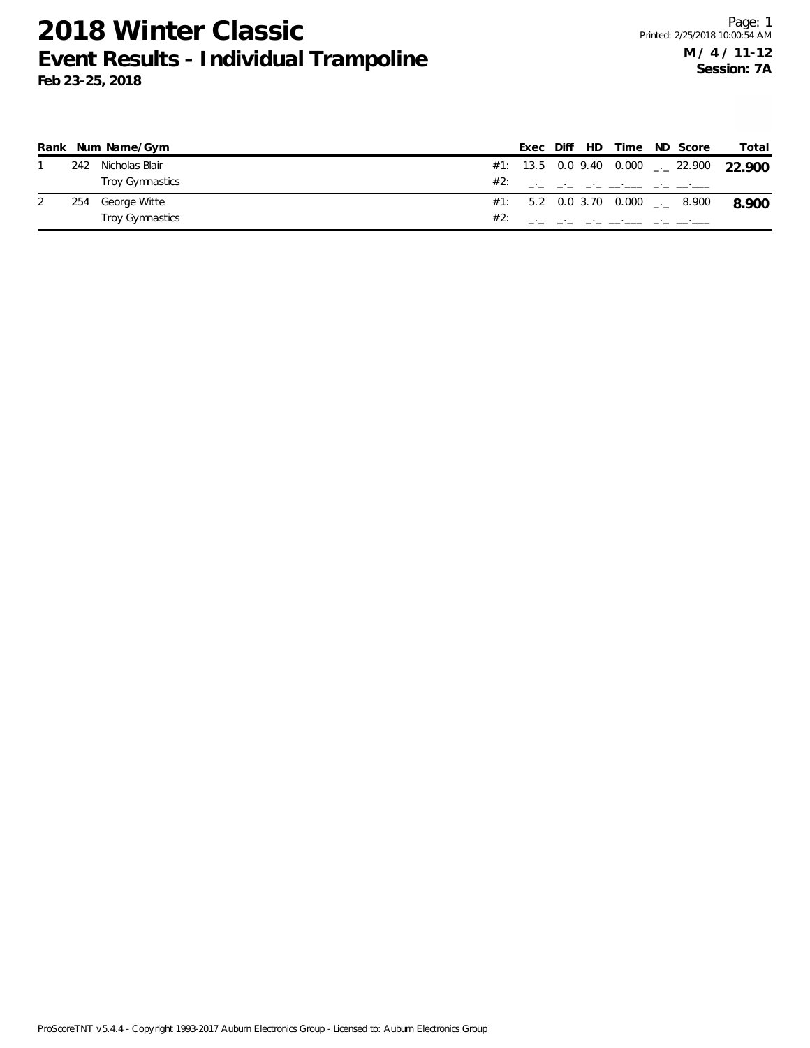|     | Rank Num Name/Gym |     | Exec Diff HD |  | Time                                              | ND Score | Total                                               |
|-----|-------------------|-----|--------------|--|---------------------------------------------------|----------|-----------------------------------------------------|
| 242 | Nicholas Blair    |     |              |  |                                                   |          | #1: 13.5 0.0 9.40 0.000 $\rightarrow$ 22.900 22.900 |
|     | Troy Gymnastics   | #2: |              |  | والمستواط والمستحصل للمحارب المحار                |          |                                                     |
| 254 | George Witte      |     |              |  | $#1:$ 5.2 0.0 3.70 0.000 $\qquad \qquad -2$ 8.900 |          | 8.900                                               |
|     | Troy Gymnastics   | #2: |              |  |                                                   |          |                                                     |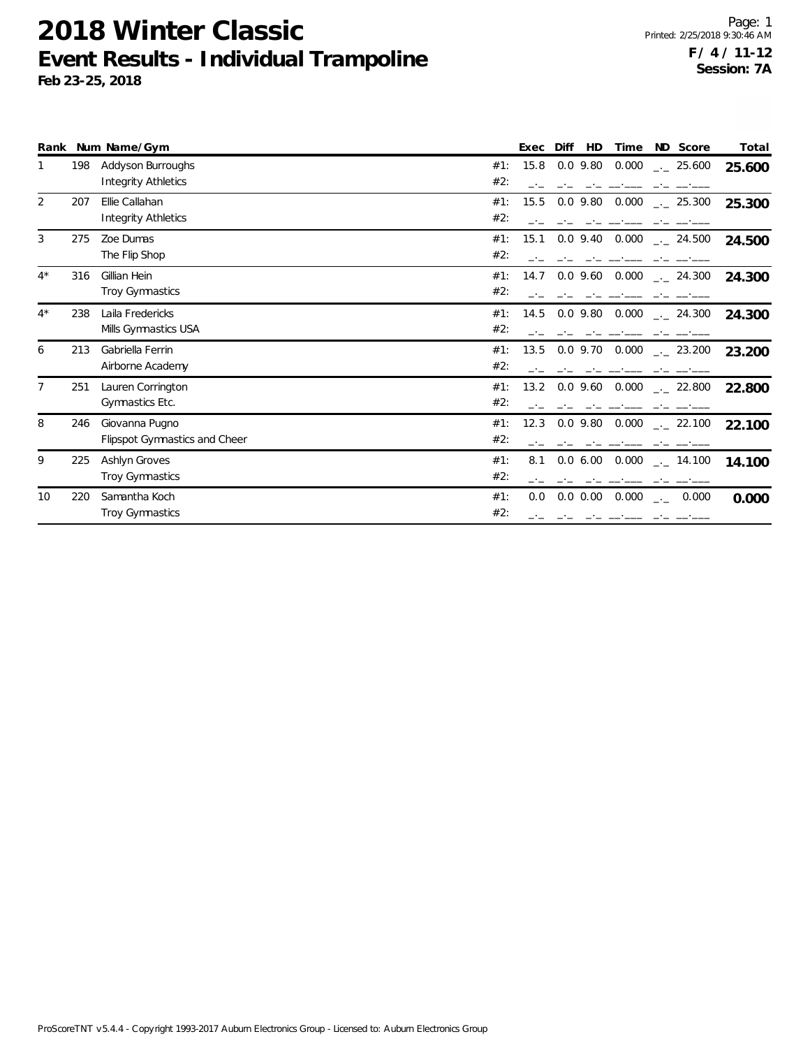|       |     | Rank Num Name/Gym                    |     | Exec | Diff | HD          | Time                                |               | ND Score             | Total  |
|-------|-----|--------------------------------------|-----|------|------|-------------|-------------------------------------|---------------|----------------------|--------|
|       | 198 | Addyson Burroughs                    | #1: | 15.8 |      | $0.0$ 9.80  | 0.000                               |               | $-25.600$            | 25.600 |
|       |     | <b>Integrity Athletics</b>           | #2: |      |      |             |                                     |               |                      |        |
| 2     | 207 | Ellie Callahan                       | #1: | 15.5 |      | $0.0$ 9.80  | 0.000                               |               | $\frac{1}{2}$ 25.300 | 25.300 |
|       |     | Integrity Athletics                  | #2: |      |      |             |                                     |               |                      |        |
| 3     | 275 | Zoe Dumas                            | #1: | 15.1 |      | $0.0$ 9.40  | 0.000                               |               | . 24.500             | 24.500 |
|       |     | The Flip Shop                        | #2: |      |      |             |                                     |               |                      |        |
| $4^*$ | 316 | Gillian Hein                         | #1: | 14.7 |      | $0.0$ 9.60  | 0.000                               |               | $\frac{1}{2}$ 24.300 | 24.300 |
|       |     | Troy Gymnastics                      | #2: |      |      |             |                                     |               |                      |        |
| $4^*$ | 238 | Laila Fredericks                     | #1: | 14.5 |      | $0.0$ 9.80  | 0.000                               |               | $-24.300$            | 24.300 |
|       |     | Mills Gymnastics USA                 | #2: |      |      |             |                                     |               |                      |        |
| 6     | 213 | Gabriella Ferrin                     | #1: | 13.5 |      | $0.0$ 9.70  | 0.000                               |               | $\frac{1}{2}$ 23.200 | 23.200 |
|       |     | Airborne Academy                     | #2: |      |      |             |                                     |               |                      |        |
| 7     | 251 | Lauren Corrington                    | #1: | 13.2 |      | $0.0$ 9.60  | 0.000                               |               | $-22.800$            | 22.800 |
|       |     | Gymnastics Etc.                      | #2: |      |      |             |                                     |               |                      |        |
| 8     | 246 | Giovanna Pugno                       | #1: | 12.3 |      | $0.0$ 9.80  | 0.000                               |               | $\frac{1}{2}$ 22.100 | 22.100 |
|       |     | <b>Flipspot Gymnastics and Cheer</b> | #2: |      |      |             |                                     |               |                      |        |
| 9     | 225 | Ashlyn Groves                        | #1: | 8.1  |      | 0.06.00     | 0.000                               |               | $\sim$ 14.100        | 14.100 |
|       |     | Troy Gymnastics                      | #2: |      |      |             |                                     |               |                      |        |
| 10    | 220 | Samantha Koch                        | #1: | 0.0  |      | $0.0\ 0.00$ | 0.000                               | $\rightarrow$ | 0.000                | 0.000  |
|       |     | <b>Troy Gymnastics</b>               | #2: |      |      |             | سياسي سابي استعاضت بالمراجع المارين |               |                      |        |